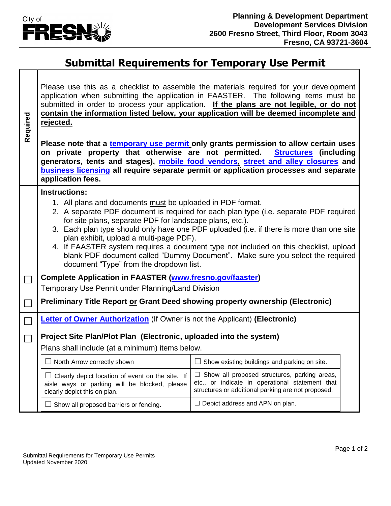

## **Submittal Requirements for Temporary Use Permit**

| Required | Please use this as a checklist to assemble the materials required for your development<br>application when submitting the application in FAASTER. The following items must be<br>submitted in order to process your application. If the plans are not legible, or do not<br>contain the information listed below, your application will be deemed incomplete and<br>rejected.<br>Please note that a temporary use permit only grants permission to allow certain uses<br>on private property that otherwise are not permitted.<br><b>Structures</b> (including<br>generators, tents and stages), mobile food vendors, street and alley closures and<br>business licensing all require separate permit or application processes and separate<br>application fees. |                                                                                                                                                              |  |
|----------|------------------------------------------------------------------------------------------------------------------------------------------------------------------------------------------------------------------------------------------------------------------------------------------------------------------------------------------------------------------------------------------------------------------------------------------------------------------------------------------------------------------------------------------------------------------------------------------------------------------------------------------------------------------------------------------------------------------------------------------------------------------|--------------------------------------------------------------------------------------------------------------------------------------------------------------|--|
|          | <b>Instructions:</b>                                                                                                                                                                                                                                                                                                                                                                                                                                                                                                                                                                                                                                                                                                                                             |                                                                                                                                                              |  |
|          | 1. All plans and documents must be uploaded in PDF format.<br>2. A separate PDF document is required for each plan type (i.e. separate PDF required<br>for site plans, separate PDF for landscape plans, etc.).<br>3. Each plan type should only have one PDF uploaded (i.e. if there is more than one site<br>plan exhibit, upload a multi-page PDF).<br>4. If FAASTER system requires a document type not included on this checklist, upload<br>blank PDF document called "Dummy Document". Make sure you select the required<br>document "Type" from the dropdown list.                                                                                                                                                                                       |                                                                                                                                                              |  |
|          | <b>Complete Application in FAASTER (www.fresno.gov/faaster)</b><br>Temporary Use Permit under Planning/Land Division                                                                                                                                                                                                                                                                                                                                                                                                                                                                                                                                                                                                                                             |                                                                                                                                                              |  |
|          | Preliminary Title Report or Grant Deed showing property ownership (Electronic)                                                                                                                                                                                                                                                                                                                                                                                                                                                                                                                                                                                                                                                                                   |                                                                                                                                                              |  |
|          | <b>Letter of Owner Authorization</b> (If Owner is not the Applicant) (Electronic)                                                                                                                                                                                                                                                                                                                                                                                                                                                                                                                                                                                                                                                                                |                                                                                                                                                              |  |
|          | Project Site Plan/Plot Plan (Electronic, uploaded into the system)                                                                                                                                                                                                                                                                                                                                                                                                                                                                                                                                                                                                                                                                                               |                                                                                                                                                              |  |
|          | Plans shall include (at a minimum) items below.                                                                                                                                                                                                                                                                                                                                                                                                                                                                                                                                                                                                                                                                                                                  |                                                                                                                                                              |  |
|          | $\Box$ North Arrow correctly shown                                                                                                                                                                                                                                                                                                                                                                                                                                                                                                                                                                                                                                                                                                                               | $\Box$ Show existing buildings and parking on site.                                                                                                          |  |
|          | $\Box$ Clearly depict location of event on the site. If<br>aisle ways or parking will be blocked, please<br>clearly depict this on plan.                                                                                                                                                                                                                                                                                                                                                                                                                                                                                                                                                                                                                         | $\Box$ Show all proposed structures, parking areas,<br>etc., or indicate in operational statement that<br>structures or additional parking are not proposed. |  |
|          | $\Box$ Show all proposed barriers or fencing.                                                                                                                                                                                                                                                                                                                                                                                                                                                                                                                                                                                                                                                                                                                    | $\Box$ Depict address and APN on plan.                                                                                                                       |  |